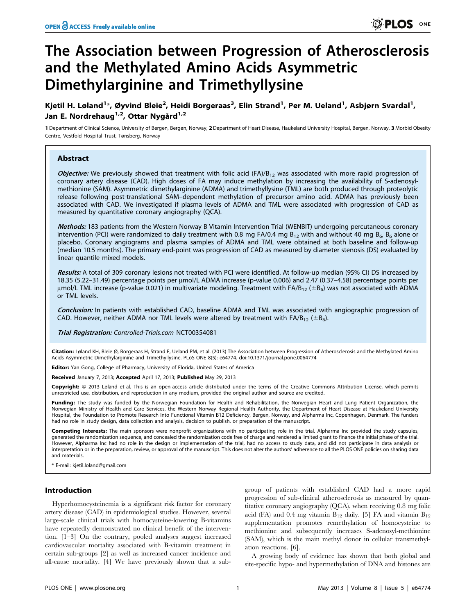# The Association between Progression of Atherosclerosis and the Methylated Amino Acids Asymmetric Dimethylarginine and Trimethyllysine

Kjetil H. Løland<sup>1</sup>\*, Øyvind Bleie<sup>2</sup>, Heidi Borgeraas<sup>3</sup>, Elin Strand<sup>1</sup>, Per M. Ueland<sup>1</sup>, Asbjørn Svardal<sup>1</sup>, Jan E. Nordrehaug<sup>1,2</sup>, Ottar Nygård<sup>1,2</sup>

1 Department of Clinical Science, University of Bergen, Bergen, Norway, 2 Department of Heart Disease, Haukeland University Hospital, Bergen, Norway, 3 Morbid Obesity Centre, Vestfold Hospital Trust, Tønsberg, Norway

## Abstract

**Objective:** We previously showed that treatment with folic acid  $(FA)/B_{12}$  was associated with more rapid progression of coronary artery disease (CAD). High doses of FA may induce methylation by increasing the availability of S-adenosylmethionine (SAM). Asymmetric dimethylarginine (ADMA) and trimethyllysine (TML) are both produced through proteolytic release following post-translational SAM–dependent methylation of precursor amino acid. ADMA has previously been associated with CAD. We investigated if plasma levels of ADMA and TML were associated with progression of CAD as measured by quantitative coronary angiography (QCA).

Methods: 183 patients from the Western Norway B Vitamin Intervention Trial (WENBIT) undergoing percutaneous coronary intervention (PCI) were randomized to daily treatment with 0.8 mg FA/0.4 mg B<sub>12</sub> with and without 40 mg B<sub>6</sub>, B<sub>6</sub> alone or placebo. Coronary angiograms and plasma samples of ADMA and TML were obtained at both baseline and follow-up (median 10.5 months). The primary end-point was progression of CAD as measured by diameter stenosis (DS) evaluated by linear quantile mixed models.

Results: A total of 309 coronary lesions not treated with PCI were identified. At follow-up median (95% CI) DS increased by 18.35 (5.22–31.49) percentage points per µmol/L ADMA increase (p-value 0.006) and 2.47 (0.37–4.58) percentage points per µmol/L TML increase (p-value 0.021) in multivariate modeling. Treatment with FA/B<sub>12</sub> ( $\pm B_6$ ) was not associated with ADMA or TML levels.

Conclusion: In patients with established CAD, baseline ADMA and TML was associated with angiographic progression of CAD. However, neither ADMA nor TML levels were altered by treatment with  $FA/B_{12}$  ( $\pm B_6$ ).

Trial Registration: Controlled-Trials.com [NCT00354081](http://www.clinicaltrials.gov/ct2/show/NCT00354081)

Citation: Løland KH, Bleie Ø, Borgeraas H, Strand E, Ueland PM, et al. (2013) The Association between Progression of Atherosclerosis and the Methylated Amino Acids Asymmetric Dimethylarginine and Trimethyllysine. PLoS ONE 8(5): e64774. doi:10.1371/journal.pone.0064774

Editor: Yan Gong, College of Pharmacy, University of Florida, United States of America

Received January 7, 2013; Accepted April 17, 2013; Published May 29, 2013

Copyright: © 2013 Løland et al. This is an open-access article distributed under the terms of the Creative Commons Attribution License, which permits unrestricted use, distribution, and reproduction in any medium, provided the original author and source are credited.

Funding: The study was funded by the Norwegian Foundation for Health and Rehabilitation, the Norwegian Heart and Lung Patient Organization, the Norwegian Ministry of Health and Care Services, the Western Norway Regional Health Authority, the Department of Heart Disease at Haukeland University Hospital, the Foundation to Promote Research Into Functional Vitamin B12 Deficiency, Bergen, Norway, and Alpharma Inc, Copenhagen, Denmark. The funders had no role in study design, data collection and analysis, decision to publish, or preparation of the manuscript.

Competing Interests: The main sponsors were nonprofit organizations with no participating role in the trial. Alpharma Inc provided the study capsules, generated the randomization sequence, and concealed the randomization code free of charge and rendered a limited grant to finance the initial phase of the trial. However, Alpharma Inc had no role in the design or implementation of the trial, had no access to study data, and did not participate in data analysis or interpretation or in the preparation, review, or approval of the manuscript. This does not alter the authors' adherence to all the PLOS ONE policies on sharing data and materials.

E-mail: kjetil.loland@gmail.com

### Introduction

Hyperhomocysteinemia is a significant risk factor for coronary artery disease (CAD) in epidemiological studies. However, several large-scale clinical trials with homocysteine-lowering B-vitamins have repeatedly demonstrated no clinical benefit of the intervention. [1–3] On the contrary, pooled analyses suggest increased cardiovascular mortality associated with B-vitamin treatment in certain sub-groups [2] as well as increased cancer incidence and all-cause mortality. [4] We have previously shown that a sub-

group of patients with established CAD had a more rapid progression of sub-clinical atherosclerosis as measured by quantitative coronary angiography (QCA), when receiving 0.8 mg folic acid (FA) and 0.4 mg vitamin  $B_{12}$  daily. [5] FA and vitamin  $B_{12}$ supplementation promotes remethylation of homocysteine to methionine and subsequently increases S-adenosyl-methionine (SAM), which is the main methyl donor in cellular transmethylation reactions. [6].

A growing body of evidence has shown that both global and site-specific hypo- and hypermethylation of DNA and histones are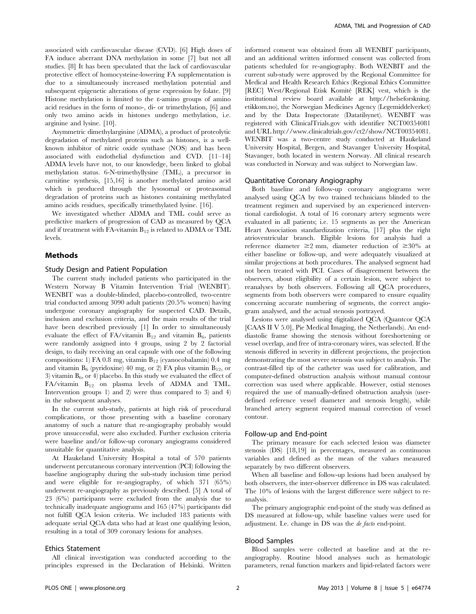associated with cardiovascular disease (CVD). [6] High doses of FA induce aberrant DNA methylation in some [7] but not all studies. [8] It has been speculated that the lack of cardiovascular protective effect of homocysteine-lowering FA supplementation is due to a simultaneously increased methylation potential and subsequent epigenetic alterations of gene expression by folate. [9] Histone methylation is limited to the e-amino groups of amino acid residues in the form of mono-, di- or trimethylation, [6] and only two amino acids in histones undergo methylation, i.e. arginine and lysine. [10].

Asymmetric dimethylarginine (ADMA), a product of proteolytic degradation of methylated proteins such as histones, is a wellknown inhibitor of nitric oxide synthase (NOS) and has been associated with endothelial dysfunction and CVD. [11–14] ADMA levels have not, to our knowledge, been linked to global methylation status. 6-N-trimethyllysine (TML), a precursor in carnitine synthesis, [15,16] is another methylated amino acid which is produced through the lysosomal or proteasomal degradation of proteins such as histones containing methylated amino acids residues, specifically trimethylated lysine. [16].

We investigated whether ADMA and TML could serve as predictive markers of progression of CAD as measured by QCA and if treatment with FA-vitamin  $B_{12}$  is related to ADMA or TML levels.

#### Methods

## Study Design and Patient Population

The current study included patients who participated in the Western Norway B Vitamin Intervention Trial (WENBIT). WENBIT was a double-blinded, placebo-controlled, two-centre trial conducted among 3090 adult patients (20.5% women) having undergone coronary angiography for suspected CAD. Details, inclusion and exclusion criteria, and the main results of the trial have been described previously [1] In order to simultaneously evaluate the effect of  $FA/\nu$ itamin  $B_{12}$  and vitamin  $B_6$ , patients were randomly assigned into 4 groups, using 2 by 2 factorial design, to daily receiving an oral capsule with one of the following compositions: 1) FA 0.8 mg, vitamin  $B_{12}$  (cyanocobalamin) 0.4 mg and vitamin  $B_6$  (pyridoxine) 40 mg, or 2) FA plus vitamin  $B_{12}$ , or 3) vitamin  $B_6$ , or 4) placebo. In this study we evaluated the effect of  $FA/\text{vitamin}$   $B_{12}$  on plasma levels of ADMA and TML. Intervention groups 1) and 2) were thus compared to 3) and 4) in the subsequent analyses.

In the current sub-study, patients at high risk of procedural complications, or those presenting with a baseline coronary anatomy of such a nature that re-angiography probably would prove unsuccessful, were also excluded. Further exclusion criteria were baseline and/or follow-up coronary angiograms considered unsuitable for quantitative analysis.

At Haukeland University Hospital a total of 570 patients underwent percutaneous coronary intervention (PCI) following the baseline angiography during the sub-study inclusion time period and were eligible for re-angiography, of which 371 (65%) underwent re-angiography as previously described. [5] A total of 23 (6%) participants were excluded from the analysis due to technically inadequate angiograms and 165 (47%) participants did not fulfill QCA lesion criteria. We included 183 patients with adequate serial QCA data who had at least one qualifying lesion, resulting in a total of 309 coronary lesions for analyses.

### Ethics Statement

All clinical investigation was conducted according to the principles expressed in the Declaration of Helsinki. Written informed consent was obtained from all WENBIT participants, and an additional written informed consent was collected from patients scheduled for re-angiography. Both WENBIT and the current sub-study were approved by the Regional Committee for Medical and Health Research Ethics (Regional Ethics Committee [REC] West/Regional Etisk Komité [REK] vest, which is the institutional review board available at http://helseforskning. etikkom.no), the Norwegian Medicines Agency (Legemiddelverket) and by the Data Inspectorate (Datatilsynet). WENBIT was registered with ClinicalTrials.gov with identifier NCT00354081 and URL http://www.clinicaltrials.gov/ct2/show/NCT00354081. WENBIT was a two-centre study conducted at Haukeland University Hospital, Bergen, and Stavanger University Hospital, Stavanger, both located in western Norway. All clinical research was conducted in Norway and was subject to Norwegian law.

## Quantitative Coronary Angiography

Both baseline and follow-up coronary angiograms were analysed using QCA by two trained technicians blinded to the treatment regimen and supervised by an experienced interventional cardiologist. A total of 16 coronary artery segments were evaluated in all patients; i.e. 15 segments as per the American Heart Association standardization criteria, [17] plus the right atrioventricular branch. Eligible lesions for analysis had a reference diameter  $\geq 2$  mm, diameter reduction of  $\geq 30\%$  at either baseline or follow-up, and were adequately visualized at similar projections at both procedures. The analysed segment had not been treated with PCI. Cases of disagreement between the observers, about eligibility of a certain lesion, were subject to reanalyses by both observers. Following all QCA procedures, segments from both observers were compared to ensure equality concerning accurate numbering of segments, the correct angiogram analysed, and the actual stenosis portrayed.

Lesions were analysed using digitalized QCA (Quantcor QCA [CAAS II V 5.0], Pie Medical Imaging, the Netherlands). An enddiastolic frame showing the stenosis without foreshortening or vessel overlap, and free of intra-coronary wires, was selected. If the stenosis differed in severity in different projections, the projection demonstrating the most severe stenosis was subject to analysis. The contrast-filled tip of the catheter was used for calibration, and computer-defined obstruction analysis without manual contour correction was used where applicable. However, ostial stenoses required the use of manually-defined obstruction analysis (userdefined reference vessel diameter and stenosis length), while branched artery segment required manual correction of vessel contour.

#### Follow-up and End-point

The primary measure for each selected lesion was diameter stenosis (DS) [18,19] in percentages, measured as continuous variables and defined as the mean of the values measured separately by two different observers.

When all baseline and follow-up lesions had been analysed by both observers, the inter-observer difference in DS was calculated. The 10% of lesions with the largest difference were subject to reanalysis.

The primary angiographic end-point of the study was defined as DS measured at follow-up, while baseline values were used for adjustment. I.e. change in DS was the de facto end-point.

### Blood Samples

Blood samples were collected at baseline and at the reangiography. Routine blood analyses such as hematologic parameters, renal function markers and lipid-related factors were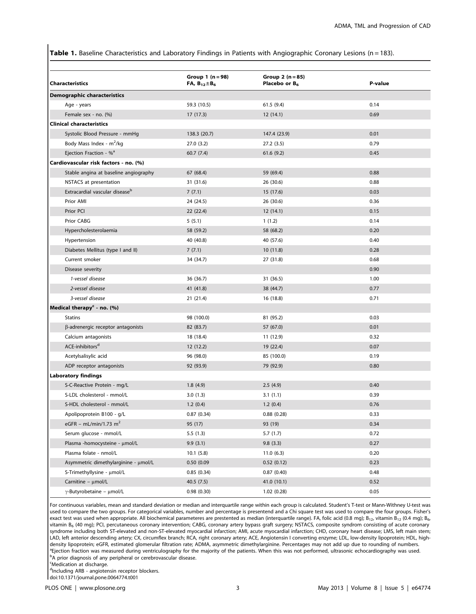Table 1. Baseline Characteristics and Laboratory Findings in Patients with Angiographic Coronary Lesions (n = 183).

| <b>Characteristics</b>                     | Group $1(n = 98)$<br>FA, $B_{12} \pm B_6$ | Group $2(n = 85)$<br>Placebo or B <sub>6</sub> | P-value |
|--------------------------------------------|-------------------------------------------|------------------------------------------------|---------|
| Demographic characteristics                |                                           |                                                |         |
| Age - years                                | 59.3 (10.5)                               | 61.5(9.4)                                      | 0.14    |
| Female sex - no. (%)                       | 17(17.3)                                  | 12(14.1)                                       | 0.69    |
| <b>Clinical characteristics</b>            |                                           |                                                |         |
| Systolic Blood Pressure - mmHg             | 138.3 (20.7)                              | 147.4 (23.9)                                   | 0.01    |
| Body Mass Index - m <sup>2</sup> /kg       | 27.0(3.2)                                 | 27.2(3.5)                                      | 0.79    |
| Ejection Fraction - $\%$ <sup>a</sup>      | 60.7(7.4)                                 | 61.6(9.2)                                      | 0.45    |
| Cardiovascular risk factors - no. (%)      |                                           |                                                |         |
| Stable angina at baseline angiography      | 67 (68.4)                                 | 59 (69.4)                                      | 0.88    |
| NSTACS at presentation                     | 31 (31.6)                                 | 26 (30.6)                                      | 0.88    |
| Extracardial vascular disease <sup>b</sup> | 7(7.1)                                    | 15 (17.6)                                      | 0.03    |
| Prior AMI                                  | 24 (24.5)                                 | 26 (30.6)                                      | 0.36    |
| Prior PCI                                  | 22 (22.4)                                 | 12 (14.1)                                      | 0.15    |
| Prior CABG                                 | 5(5.1)                                    | 1(1.2)                                         | 0.14    |
| Hypercholesterolaemia                      | 58 (59.2)                                 | 58 (68.2)                                      | 0.20    |
| Hypertension                               | 40 (40.8)                                 | 40 (57.6)                                      | 0.40    |
| Diabetes Mellitus (type I and II)          | 7(7.1)                                    | 10(11.8)                                       | 0.28    |
| Current smoker                             | 34 (34.7)                                 | 27 (31.8)                                      | 0.68    |
| Disease severity                           |                                           |                                                | 0.90    |
| 1-vessel disease                           | 36 (36.7)                                 | 31 (36.5)                                      | 1.00    |
| 2-vessel disease                           | 41 (41.8)                                 | 38 (44.7)                                      | 0.77    |
| 3-vessel disease                           | 21(21.4)                                  | 16 (18.8)                                      | 0.71    |
| Medical therapy <sup>c</sup> - no. (%)     |                                           |                                                |         |
| <b>Statins</b>                             | 98 (100.0)                                | 81 (95.2)                                      | 0.03    |
| β-adrenergic receptor antagonists          | 82 (83.7)                                 | 57 (67.0)                                      | 0.01    |
| Calcium antagonists                        | 18 (18.4)                                 | 11 (12.9)                                      | 0.32    |
| ACE-inhibitors <sup>d</sup>                | 12 (12.2)                                 | 19 (22.4)                                      | 0.07    |
| Acetylsalisylic acid                       | 96 (98.0)                                 | 85 (100.0)                                     | 0.19    |
| ADP receptor antagonists                   | 92 (93.9)                                 | 79 (92.9)                                      | 0.80    |
| <b>Laboratory findings</b>                 |                                           |                                                |         |
| S-C-Reactive Protein - mg/L                | 1.8(4.9)                                  | 2.5(4.9)                                       | 0.40    |
| S-LDL cholesterol - mmol/L                 | 3.0(1.3)                                  | 3.1(1.1)                                       | 0.39    |
| S-HDL cholesterol - mmol/L                 | 1.2(0.4)                                  | 1.2(0.4)                                       | 0.76    |
| Apolipoprotein B100 - g/L                  | 0.87(0.34)                                | 0.88(0.28)                                     | 0.33    |
| eGFR – mL/min/1.73 m <sup>2</sup>          | 95 (17)                                   | 93 (19)                                        | 0.34    |
| Serum glucose - mmol/L                     | 5.5(1.3)                                  | 5.7(1.7)                                       | 0.72    |
| Plasma -homocysteine - µmol/L              | 9.9(3.1)                                  | 9.8(3.3)                                       | 0.27    |
| Plasma folate - nmol/L                     | 10.1(5.8)                                 | 11.0(6.3)                                      | 0.20    |
| Asymmetric dimethylarginine - µmol/L       | 0.50 (0.09                                | 0.52(0.12)                                     | 0.23    |
| S-Trimethyllysine - µmol/L                 | 0.85(0.34)                                | 0.87(0.40)                                     | 0.48    |
| Carnitine - µmol/L                         | 40.5(7.5)                                 | 41.0 (10.1)                                    | 0.52    |
| $\gamma$ -Butyrobetaine – µmol/L           | 0.98(0.30)                                | 1.02(0.28)                                     | 0.05    |

For continuous variables, mean and standard deviation or median and interquartile range within each group is calculated. Student's T-test or Mann-Withney U-test was used to compare the two groups. For categorical variables, number and percentage is presentend and a Chi square test was used to compare the four groups. Fisher's exact test was used when appropriate. All biochemical parameteres are prestented as median (interquartile range). FA, folic acid (0.8 mg); B<sub>12</sub>, vitamin B<sub>12</sub> (0.4 mg); B<sub>6</sub>, vitamin B6 (40 mg); PCI, percutaneous coronary intervention; CABG, coronary artery bypass graft surgery; NSTACS, composite syndrom consisting of acute coronary syndrome including both ST-elevated and non-ST-elevated myocardial infarction; AMI, acute myocardial infarction; CHD, coronary heart disease; LMS, left main stem; LAD, left anterior descending artery; CX, circumflex branch; RCA, right coronary artery; ACE, Angiotensin I converting enzyme; LDL, low-density lipoprotein; HDL, highdensity lipoprotein; eGFR, estimated glomerular filtration rate; ADMA, asymmetric dimethylarginine. Percentages may not add up due to rounding of numbers. <sup>a</sup> Ejection fraction was measured during ventriculography for the majority of the patients. When this was not performed, ultrasonic echocardiography was used.

<sup>b</sup>A prior diagnosis of any peripheral or cerebrovascular disease.

<sup>c</sup>Medication at discharge.

dIncluding ARB - angiotensin receptor blockers. doi:10.1371/journal.pone.0064774.t001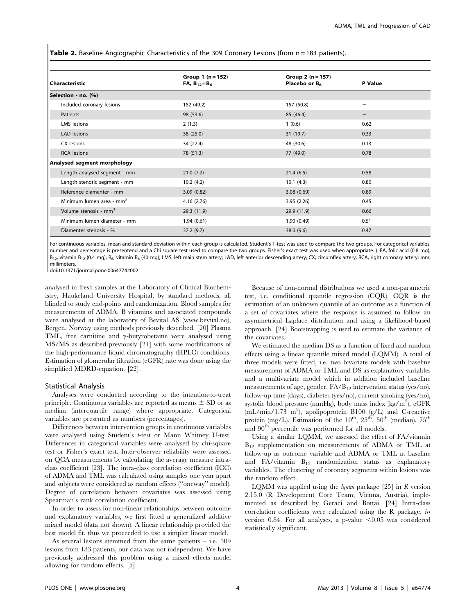Table 2. Baseline Angiographic Characteristics of the 309 Coronary Lesions (from n = 183 patients).

| Characteristic                    | Group 1 $(n = 152)$<br>FA, $B_{12} \pm B_6$ | Group 2 $(n = 157)$<br>Placebo or B <sub>6</sub> | P Value                  |  |
|-----------------------------------|---------------------------------------------|--------------------------------------------------|--------------------------|--|
| Selection - no. (%)               |                                             |                                                  |                          |  |
| Included coronary lesions         | 152 (49.2)                                  | 157 (50.8)                                       | $\overline{\phantom{0}}$ |  |
| Patients                          | 98 (53.6)                                   | 85 (46.4)                                        |                          |  |
| LMS lesions                       | 2(1.3)                                      | 1(0.6)                                           | 0.62                     |  |
| LAD lesions                       | 38(25.0)                                    | 31 (19.7)                                        | 0.33                     |  |
| CX lesions                        | 34 (22.4)                                   | 48 (30.6)                                        | 0.13                     |  |
| <b>RCA</b> lesions                | 78 (51.3)                                   | 77 (49.0)                                        | 0.78                     |  |
| Analysed segment morphology       |                                             |                                                  |                          |  |
| Length analysed segment - mm      | 21.0(7.2)                                   | 21.4(6.5)                                        | 0.58                     |  |
| Length stenotic segment - mm      | 10.2(4.2)                                   | 10.1(4.3)                                        | 0.80                     |  |
| Reference diamenter - mm          | 3.09(0.82)                                  | 3.08(0.69)                                       | 0.89                     |  |
| Minimum lumen area - $mm2$        | 4.16(2.76)                                  | 3.95(2.26)                                       | 0.45                     |  |
| Volume stenosis - mm <sup>3</sup> | 29.3 (11.9)                                 | 29.9 (11.9)                                      | 0.66                     |  |
| Minimum lumen diameter - mm       | 1.94(0.61)                                  | 1.90(0.49)                                       | 0.51                     |  |
| Diamenter stenosis - %            | 37.2(9.7)                                   | 38.0(9.6)                                        | 0.47                     |  |

For continuous variables, mean and standard deviation within each group is calculated. Student's T-test was used to compare the two groups. For categorical variables, number and percentage is presentend and a Chi square test used to compare the two groups. Fisher's exact test was used when appropriate. ). FA, folic acid (0.8 mg);  $B_{12}$ , vitamin B<sub>12</sub> (0.4 mg); B<sub>6</sub>, vitamin B<sub>6</sub> (40 mg); LMS, left main stem artery; LAD, left anterior descending artery; CX; circumflex artery; RCA, right coronary artery; mm, millimeters.

doi:10.1371/journal.pone.0064774.t002

analysed in fresh samples at the Laboratory of Clinical Biochemistry, Haukeland University Hospital, by standard methods, all blinded to study end-points and randomization. Blood samples for measurements of ADMA, B vitamins and associated compounds were analysed at the laboratory of Bevital AS (www.bevital.no), Bergen, Norway using methods previously described. [20] Plasma TML, free carnitine and  $\gamma$ -butyrobetaine were analysed using MS/MS as described previously [21] with some modifications of the high-performance liquid chromatography (HPLC) conditions. Estimation of glomerular filtration (eGFR) rate was done using the simplified MDRD-equation. [22].

#### Statistical Analysis

Analyses were conducted according to the intention-to-treat principle. Continuous variables are reported as means  $\pm$  SD or as median (interquartile range) where appropriate. Categorical variables are presented as numbers (percentages).

Differences between intervention groups in continuous variables were analysed using Student's t-test or Mann Whitney U-test. Differences in categorical variables were analysed by chi-square test or Fisher's exact test. Inter-observer reliability were assessed on QCA measurements by calculating the average measure intraclass coefficient [23]. The intra-class correlation coefficient (ICC) of ADMA and TML was calculated using samples one year apart and subjects were considered as random effects (''oneway'' model). Degree of correlation between covariates was assessed using Spearman's rank correlation coefficient.

In order to assess for non-linear relationships between outcome and explanatory variables, we first fitted a generalized additive mixed model (data not shown). A linear relationship provided the best model fit, thus we proceeded to use a simpler linear model.

As several lesions stemmed from the same patients – i.e. 309 lesions from 183 patients, our data was not independent. We have previously addressed this problem using a mixed effects model allowing for random effects. [5].

Because of non-normal distributions we used a non-parametric test, i.e. conditional quantile regression (CQR). CQR is the estimation of an unknown quantile of an outcome as a function of a set of covariates where the response is assumed to follow an asymmetrical Laplace distribution and using a likelihood-based approach. [24] Bootstrapping is used to estimate the variance of the covariates.

We estimated the median DS as a function of fixed and random effects using a linear quantile mixed model (LQMM). A total of three models were fitted, i.e. two bivariate models with baseline measurement of ADMA or TML and DS as explanatory variables and a multivariate model which in addition included baseline measurements of age, gender,  $FA/B_{12}$  intervention status (yes/no), follow-up time (days), diabetes (yes/no), current smoking (yes/no), systolic blood pressure (mmHg), body mass index (kg/m<sup>2</sup>), eGFR (mL/min/1.73 m<sup>2</sup>), apolipoprotein B100 (g/L) and C-reactive protein (mg/L). Estimation of the  $10^{th}$ ,  $25^{th}$ ,  $50^{th}$  (median),  $75^{th}$ and  $90^{\rm th}$  percentile was performed for all models.

Using a similar LQMM, we assessed the effect of FA/vitamin  $B_{12}$  supplementation on measurements of ADMA or TML at follow-up as outcome variable and ADMA or TML at baseline and FA/vitamin  $B_{12}$  randomization status as explanatory variables. The clustering of coronary segments within lesions was the random effect.

LQMM was applied using the  $lqmm$  package [25] in  $R$  version 2.15.0 (R Development Core Team; Vienna, Austria), implemented as described by Geraci and Bottai. [24] Intra-class correlation coefficients were calculated using the R package, in version 0.84. For all analyses, a p-value  $\leq 0.05$  was considered statistically significant.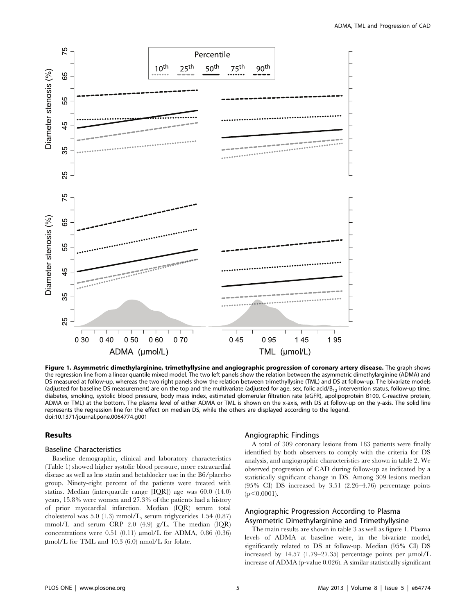

Figure 1. Asymmetric dimethylarginine, trimethyllysine and angiographic progression of coronary artery disease. The graph shows the regression line from a linear quantile mixed model. The two left panels show the relation between the asymmetric dimethylarginine (ADMA) and DS measured at follow-up, whereas the two right panels show the relation between trimethyllysine (TML) and DS at follow-up. The bivariate models (adjusted for baseline DS measurement) are on the top and the multivariate (adjusted for age, sex, folic acid/ $B_{12}$  intervention status, follow-up time, diabetes, smoking, systolic blood pressure, body mass index, estimated glomerular filtration rate (eGFR), apolipoprotein B100, C-reactive protein, ADMA or TML) at the bottom. The plasma level of either ADMA or TML is shown on the x-axis, with DS at follow-up on the y-axis. The solid line represents the regression line for the effect on median DS, while the others are displayed according to the legend. doi:10.1371/journal.pone.0064774.g001

#### Results

## Baseline Characteristics

Baseline demographic, clinical and laboratory characteristics (Table 1) showed higher systolic blood pressure, more extracardial disease as well as less statin and betablocker use in the B6/placebo group. Ninety-eight percent of the patients were treated with statins. Median (interquartile range [IQR]) age was 60.0 (14.0) years, 15.8% were women and 27.3% of the patients had a history of prior myocardial infarction. Median (IQR) serum total cholesterol was 5.0 (1.3) mmol/L, serum triglycerides 1.54 (0.87) mmol/L and serum CRP 2.0 (4.9) g/L. The median (IQR) concentrations were 0.51 (0.11)  $\mu$ mol/L for ADMA, 0.86 (0.36) mmol/L for TML and 10.3 (6.0) nmol/L for folate.

## Angiographic Findings

A total of 309 coronary lesions from 183 patients were finally identified by both observers to comply with the criteria for DS analysis, and angiographic characteristics are shown in table 2. We observed progression of CAD during follow-up as indicated by a statistically significant change in DS. Among 309 lesions median (95% CI) DS increased by 3.51 (2.26–4.76) percentage points  $(p<0.0001)$ .

# Angiographic Progression According to Plasma Asymmetric Dimethylarginine and Trimethyllysine

The main results are shown in table 3 as well as figure 1. Plasma levels of ADMA at baseline were, in the bivariate model, significantly related to DS at follow-up. Median (95% CI) DS increased by 14.57 (1.79–27.35) percentage points per  $\mu$ mol/L increase of ADMA (p-value 0.026). A similar statistically significant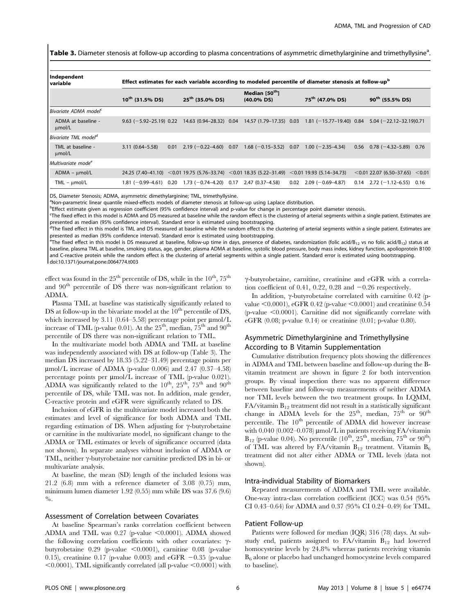Table 3. Diameter stenosis at follow-up according to plasma concentrations of asymmetric dimethylarginine and trimethyllysine<sup>a</sup>.

| Independent<br>l variable         | Effect estimates for each variable according to modeled percentile of diameter stenosis at follow-upb |      |                           |  |                                                                                                          |  |                              |      |                                      |      |
|-----------------------------------|-------------------------------------------------------------------------------------------------------|------|---------------------------|--|----------------------------------------------------------------------------------------------------------|--|------------------------------|------|--------------------------------------|------|
|                                   | $10^{th}$ (31.5% DS)                                                                                  |      | $25^{th}$ (35.0% DS)      |  | Median [50 <sup>th</sup> ]<br>$(40.0\% \text{ DS})$                                                      |  | 75 <sup>th</sup> (47.0% DS)  |      | $90^{th}$ (55.5% DS)                 |      |
| Bivariate ADMA model <sup>c</sup> |                                                                                                       |      |                           |  |                                                                                                          |  |                              |      |                                      |      |
| ADMA at baseline -<br>umol/L      | $9.63$ (-5.92-25.19) 0.22                                                                             |      | 14.63 (0.94-28.32) 0.04   |  | 14.57 (1.79–17.35) 0.03                                                                                  |  | $1.81 (-15.77 - 19.40) 0.84$ |      | $5.04 (-22.12 - 32.19)0.71$          |      |
| Bivariate TML model <sup>d</sup>  |                                                                                                       |      |                           |  |                                                                                                          |  |                              |      |                                      |      |
| TML at baseline -<br>µmol/L       | $3.11(0.64 - 5.58)$                                                                                   | 0.01 | $2.19(-0.22 - 4.60)$ 0.07 |  | $1.68$ (-0.15-3.52) 0.07                                                                                 |  | $1.00 (-2.35 - 4.34)$        | 0.56 | $0.78 (-4.32 - 5.89)$                | 0.76 |
| Multivariate mode <sup>e</sup>    |                                                                                                       |      |                           |  |                                                                                                          |  |                              |      |                                      |      |
| $ADMA - \mu mol/L$                |                                                                                                       |      |                           |  | 24.25 $(7.40-41.10)$ < 0.01 19.75 $(5.76-33.74)$ < 0.01 18.35 $(5.22-31.49)$ < 0.01 19.93 $(5.14-34.73)$ |  |                              |      | $<$ 0.01 22.07 (6.50–37.65) $<$ 0.01 |      |
| $TML - \mu mol/L$                 | $1.81 (-0.99 - 4.61) 0.20$                                                                            |      |                           |  | $1.73$ (-0.74-4.20) 0.17 2.47 (0.37-4.58) 0.02                                                           |  | $2.09(-0.69-4.87)$           |      | $0.14$ $2.72$ (-1.12-6.55) 0.16      |      |

DS, Diameter Stenosis; ADMA, asymmetric dimethylarginine; TML, trimethyllysine.

<sup>a</sup>Non-parametric linear quantile mixed-effects models of diameter stenosis at follow-up using Laplace distribution.

<sup>b</sup>Effect estimate given as regression coefficient (95% confidence interval) and p-value for change in percentage point diameter stenosis.

<sup>c</sup>The fixed effect in this model is ADMA and DS measured at baseline while the random effect is the clustering of arterial segments within a single patient. Estimates are presented as median (95% confidence interval). Standard error is estimated using bootstrapping.

<sup>d</sup>The fixed effect in this model is TML and DS measured at baseline while the random effect is the clustering of arterial segments within a single patient. Estimates are presented as median (95% confidence interval). Standard error is estimated using bootstrapping.

<sup>e</sup>The fixed effect in this model is DS measured at baseline, follow-up time in days, presence of diabetes, randomization (folic acid/B<sub>12</sub> vs no folic acid/B<sub>12</sub>) status at baseline, plasma TML at baseline, smoking status, age, gender, plasma ADMA at baseline, systolic blood pressure, body mass index, kidney function, apolioprotein B100 and C-reactive protein while the random effect is the clustering of arterial segments within a single patient. Standard error is estimated using bootstrapping. doi:10.1371/journal.pone.0064774.t003

effect was found in the  $25<sup>th</sup>$  percentile of DS, while in the  $10<sup>th</sup>$ ,  $75<sup>th</sup>$ and 90th percentile of DS there was non-significant relation to ADMA.

Plasma TML at baseline was statistically significantly related to DS at follow-up in the bivariate model at the  $10<sup>th</sup>$  percentile of DS, which increased by 3.11 (0.64–5.58) percentage point per  $\mu$ mol/L increase of TML (p-value 0.01). At the  $25<sup>th</sup>$ , median,  $75<sup>th</sup>$  and  $90<sup>th</sup>$ percentile of DS there was non-significant relation to TML.

In the multivariate model both ADMA and TML at baseline was independently associated with DS at follow-up (Table 3). The median DS increased by 18.35 (5.22–31.49) percentage points per  $\mu$ mol/L increase of ADMA (p-value 0.006) and 2.47 (0.37–4.58) percentage points per  $\mu$ mol/L increase of TML (p-value 0.021). ADMA was significantly related to the  $10^{th}$ ,  $25^{th}$ ,  $75^{th}$  and  $90^{th}$ percentile of DS, while TML was not. In addition, male gender, C-reactive protein and eGFR were significantly related to DS.

Inclusion of eGFR in the multivariate model increased both the estimates and level of significance for both ADMA and TML regarding estimation of DS. When adjusting for  $\gamma$ -butyrobetaine or carnitine in the multivariate model, no significant change to the ADMA or TML estimates or levels of significance occurred (data not shown). In separate analyses without inclusion of ADMA or TML, neither  $\gamma$ -butyrobetaine nor carnitine predicted DS in bi- or multivariate analysis.

At baseline, the mean (SD) length of the included lesions was 21.2 (6.8) mm with a reference diameter of 3.08 (0.75) mm, minimum lumen diameter 1.92 (0.55) mm while DS was 37.6 (9.6) %.

#### Assessment of Correlation between Covariates

At baseline Spearman's ranks correlation coefficient between ADMA and TML was  $0.27$  (p-value  $\leq 0.0001$ ). ADMA showed the following correlation coefficients with other covariates:  $\gamma$ butyrobetaine  $0.29$  (p-value  $\leq 0.0001$ ), carnitine 0.08 (p-value 0.15), creatinine 0.17 (p-value 0.003) and eGFR  $-0.35$  (p-value  $\leq 0.0001$ ). TML significantly correlated (all p-value  $\leq 0.0001$ ) with  $\gamma$ -butyrobetaine, carnitine, creatinine and eGFR with a correlation coefficient of 0.41, 0.22, 0.28 and  $-0.26$  respectively.

In addition,  $\gamma$ -butyrobetaine correlated with carnitine 0.42 (pvalue  $\leq 0.0001$ ), eGFR 0.42 (p-value  $\leq 0.0001$ ) and creatinine 0.54  $(p$ -value  $\leq 0.0001$ ). Carnitine did not significantly correlate with eGFR (0.08; p-value 0.14) or creatinine (0.01; p-value 0.80).

# Asymmetric Dimethylarginine and Trimethyllysine According to B Vitamin Supplementation

Cumulative distribution frequency plots showing the differences in ADMA and TML between baseline and follow-up during the Bvitamin treatment are shown in figure 2 for both intervention groups. By visual inspection there was no apparent difference between baseline and follow-up measurements of neither ADMA nor TML levels between the two treatment groups. In LQMM,  $FA$ /vitamin  $B_{12}$  treatment did not result in a statistically significant change in ADMA levels for the  $25<sup>th</sup>$ , median,  $75<sup>th</sup>$  or  $90<sup>th</sup>$ percentile. The 10<sup>th</sup> percentile of ADMA did however increase with 0.040 (0.002-0.078)  $\mu$ mol/L in patients receiving FA/vitamin  $B_{12}$  (p-value 0.04). No percentile  $(10^{th}, 25^{th}, \text{median}, 75^{th}, \text{or } 90^{th})$ of TML was altered by FA/vitamin  $B_{12}$  treatment. Vitamin  $B_6$ treatment did not alter either ADMA or TML levels (data not shown).

#### Intra-individual Stability of Biomarkers

Repeated measurements of ADMA and TML were available. One-way intra-class correlation coefficient (ICC) was 0.54 (95% CI 0.43–0.64) for ADMA and 0.37 (95% CI 0.24–0.49) for TML.

#### Patient Follow-up

Patients were followed for median (IQR) 316 (78) days. At substudy end, patients assigned to FA/vitamin  $B_{12}$  had lowered homocysteine levels by 24.8% whereas patients receiving vitamin  $B<sub>6</sub>$  alone or placebo had unchanged homocysteine levels compared to baseline).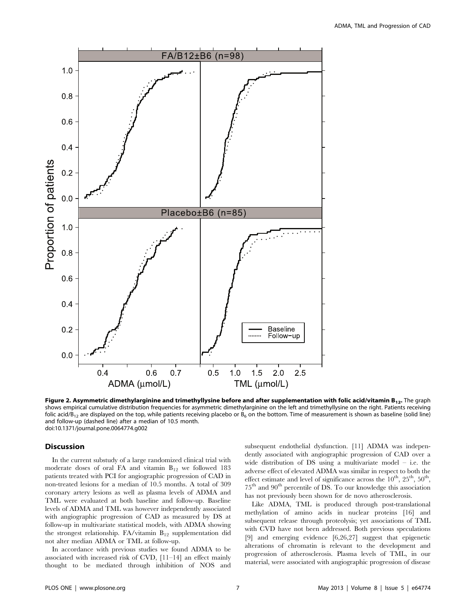

Figure 2. Asymmetric dimethylarginine and trimethyllysine before and after supplementation with folic acid/vitamin  $B_{12}$ . The graph shows empirical cumulative distribution frequencies for asymmetric dimethylarginine on the left and trimethyllysine on the right. Patients receiving folic acid/B<sub>12</sub> are displayed on the top, while patients receiving placebo or B<sub>6</sub> on the bottom. Time of measurement is shown as baseline (solid line) and follow-up (dashed line) after a median of 10.5 month. doi:10.1371/journal.pone.0064774.g002

#### Discussion

In the current substudy of a large randomized clinical trial with moderate doses of oral FA and vitamin  $B_{12}$  we followed 183 patients treated with PCI for angiographic progression of CAD in non-treated lesions for a median of 10.5 months. A total of 309 coronary artery lesions as well as plasma levels of ADMA and TML were evaluated at both baseline and follow-up. Baseline levels of ADMA and TML was however independently associated with angiographic progression of CAD as measured by DS at follow-up in multivariate statistical models, with ADMA showing the strongest relationship.  $FA/\text{vitamin } B_{12}$  supplementation did not alter median ADMA or TML at follow-up.

In accordance with previous studies we found ADMA to be associated with increased risk of CVD, [11–14] an effect mainly thought to be mediated through inhibition of NOS and subsequent endothelial dysfunction. [11] ADMA was independently associated with angiographic progression of CAD over a wide distribution of DS using a multivariate model – i.e. the adverse effect of elevated ADMA was similar in respect to both the effect estimate and level of significance across the  $10^{th}$ ,  $25^{th}$ ,  $50^{th}$ . 75th and 90th percentile of DS. To our knowledge this association has not previously been shown for de novo atherosclerosis.

Like ADMA, TML is produced through post-translational methylation of amino acids in nuclear proteins [16] and subsequent release through proteolysis; yet associations of TML with CVD have not been addressed. Both previous speculations [9] and emerging evidence [6,26,27] suggest that epigenetic alterations of chromatin is relevant to the development and progression of atherosclerosis. Plasma levels of TML, in our material, were associated with angiographic progression of disease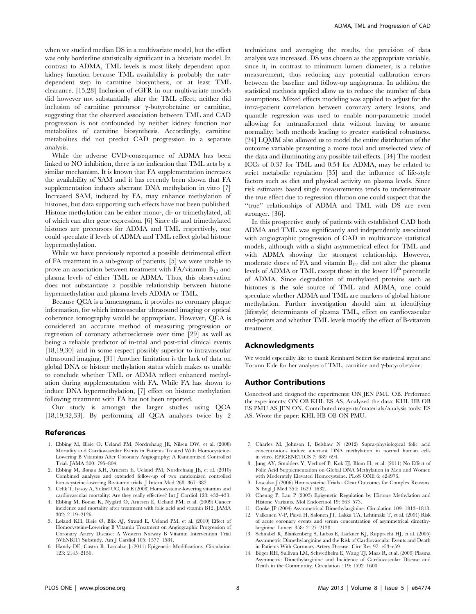when we studied median DS in a multivariate model, but the effect was only borderline statistically significant in a bivariate model. In contrast to ADMA, TML levels is most likely dependent upon kidney function because TML availability is probably the ratedependent step in carnitine biosynthesis, or at least TML clearance. [15,28] Inclusion of eGFR in our multivariate models did however not substantially alter the TML effect; neither did inclusion of carnitine precursor  $\gamma$ -butyrobetaine or carnitine, suggesting that the observed association between TML and CAD progression is not confounded by neither kidney function nor metabolites of carnitine biosynthesis. Accordingly, carnitine metabolites did not predict CAD progression in a separate analysis.

While the adverse CVD-consequence of ADMA has been linked to NO inhibition, there is no indication that TML acts by a similar mechanism. It is known that FA supplementation increases the availability of SAM and it has recently been shown that FA supplementation induces aberrant DNA methylation in vitro [7] Increased SAM, induced by FA, may enhance methylation of histones, but data supporting such effects have not been published. Histone methylation can be either mono-, di- or trimethylated, all of which can alter gene expression. [6] Since di- and trimethylated histones are precursors for ADMA and TML respectively, one could speculate if levels of ADMA and TML reflect global histone hypermethylation.

While we have previously reported a possible detrimental effect of FA treatment in a sub-group of patients, [5] we were unable to prove an association between treatment with  $FA/\tilde{\text{v}t}$  and plasma levels of either TML or ADMA. Thus, this observation does not substantiate a possible relationship between histone hypermethylation and plasma levels ADMA or TML.

Because QCA is a lumenogram, it provides no coronary plaque information, for which intravascular ultrasound imaging or optical coherence tomography would be appropriate. However, QCA is considered an accurate method of measuring progression or regression of coronary atherosclerosis over time [29] as well as being a reliable predictor of in-trial and post-trial clinical events [18,19,30] and in some respect possibly superior to intravascular ultrasound imaging. [31] Another limitation is the lack of data on global DNA or histone methylation status which makes us unable to conclude whether TML or ADMA reflect enhanced methylation during supplementation with FA. While FA has shown to induce DNA hypermethylation, [7] effect on histone methylation following treatment with FA has not been reported.

Our study is amongst the larger studies using QCA [18,19,32,33]. By performing all QCA analyses twice by 2

#### References

- 1. Ebbing M, Bleie O, Ueland PM, Nordrehaug JE, Nilsen DW, et al. (2008) Mortality and Cardiovascular Events in Patients Treated With Homocysteine-Lowering B Vitamins After Coronary Angiography: A Randomized Controlled Trial. JAMA 300: 795–804.
- 2. Ebbing M, Bønaa KH, Arnesen E, Ueland PM, Nordrehaug JE, et al. (2010) Combined analyses and extended follow-up of two randomized controlled homocysteine-lowering B-vitamin trials. J Intern Med 268: 367–382.
- 3. Celik T, Iyisoy A, Yuksel UC, Isik E (2008) Homocysteine-lowering vitamins and cardiovascular mortality: Are they really effective? Int J Cardiol 128: 432–433.
- 4. Ebbing M, Bønaa K, Nygård O, Arnesen E, Ueland PM, et al. (2009) Cancer incidence and mortality after treatment with folic acid and vitamin B12. JAMA 302: 2119–2126.
- 5. Løland KH, Bleie Ø, Blix AJ, Strand E, Ueland PM, et al. (2010) Effect of Homocysteine-Lowering B Vitamin Treatment on Angiographic Progression of Coronary Artery Disease: A Western Norway B Vitamin Intervention Trial (WENBIT) Substudy. Am J Cardiol 105: 1577–1584.
- 6. Handy DE, Castro R, Loscalzo J (2011) Epigenetic Modifications. Circulation 123: 2145–2156.

technicians and averaging the results, the precision of data analysis was increased. DS was chosen as the appropriate variable, since it, in contrast to minimum lumen diameter, is a relative measurement, thus reducing any potential calibration errors between the baseline and follow-up angiograms. In addition the statistical methods applied allow us to reduce the number of data assumptions. Mixed effects modeling was applied to adjust for the intra-patient correlation between coronary artery lesions, and quantile regression was used to enable non-parametric model allowing for untransformed data without having to assume normality; both methods leading to greater statistical robustness. [24] LQMM also allowed us to model the entire distribution of the outcome variable presenting a more total and unselected view of the data and illuminating any possible tail effects. [34] The modest ICCs of 0.37 for TML and 0.54 for ADMA, may be related to strict metabolic regulation [35] and the influence of life-style factors such as diet and physical activity on plasma levels. Since risk estimates based single measurements tends to underestimate the true effect due to regression dilution one could suspect that the ''true'' relationships of ADMA and TML with DS are even stronger. [36].

In this prospective study of patients with established CAD both ADMA and TML was significantly and independently associated with angiographic progression of CAD in multivariate statistical models, although with a slight asymmetrical effect for TML and with ADMA showing the strongest relationship. However, moderate doses of FA and vitamin  $B_{12}$  did not alter the plasma levels of ADMA or TML except those in the lower 10<sup>th</sup> percentile of ADMA. Since degradation of methylated proteins such as histones is the sole source of TML and ADMA, one could speculate whether ADMA and TML are markers of global histone methylation. Further investigation should aim at identifying (lifestyle) determinants of plasma TML, effect on cardiovascular end-points and whether TML levels modify the effect of B-vitamin treatment.

#### Acknowledgments

We would especially like to thank Reinhard Seifert for statistical input and Torunn Eide for her analyses of TML, carnitine and  $\gamma$ -butyrobetaine.

## Author Contributions

Conceived and designed the experiments: ON JEN PMU OB. Performed the experiments: ON OB KHL ES AS. Analyzed the data: KHL HB OB ES PMU AS JEN ON. Contributed reagents/materials/analysis tools: ES AS. Wrote the paper: KHL HB OB ON PMU.

- 7. Charles M, Johnson I, Belshaw N (2012) Supra-physiological folic acid concentrations induce aberrant DNA methylation in normal human cells in vitro. EPIGENETICS 7: 689–694.
- 8. Jung AY, Smulders Y, Verhoef P, Kok FJ, Blom H, et al. (2011) No Effect of Folic Acid Supplementation on Global DNA Methylation in Men and Women with Moderately Elevated Homocysteine. PLoS ONE 6: e24976.
- 9. Loscalzo J (2006) Homocysteine Trials Clear Outcomes for Complex Reasons. N Engl J Med 354: 1629–1632.
- 10. Cheung P, Lau P (2005) Epigenetic Regulation by Histone Methylation and Histone Variants. Mol Endocrinol 19: 563–573.
- 11. Cooke JP (2004) Asymmetrical Dimethylarginine. Circulation 109: 1813–1818.
- 12. Valkonen V-P, Päivä H, Salonen JT, Lakka TA, Lehtimäki T, et al. (2001) Risk of acute coronary events and serum concentration of asymmetrical dimethylarginine. Lancet 358: 2127–2128.
- 13. Schnabel R, Blankenberg S, Lubos E, Lackner KJ, Rupprecht HJ, et al. (2005) Asymmetric Dimethylarginine and the Risk of Cardiovascular Events and Death in Patients With Coronary Artery Disease. Circ Res 97: e53–e59.
- 14. Böger RH, Sullivan LM, Schwedhelm E, Wang TJ, Maas R, et al. (2009) Plasma Asymmetric Dimethylarginine and Incidence of Cardiovascular Disease and Death in the Community. Circulation 119: 1592–1600.